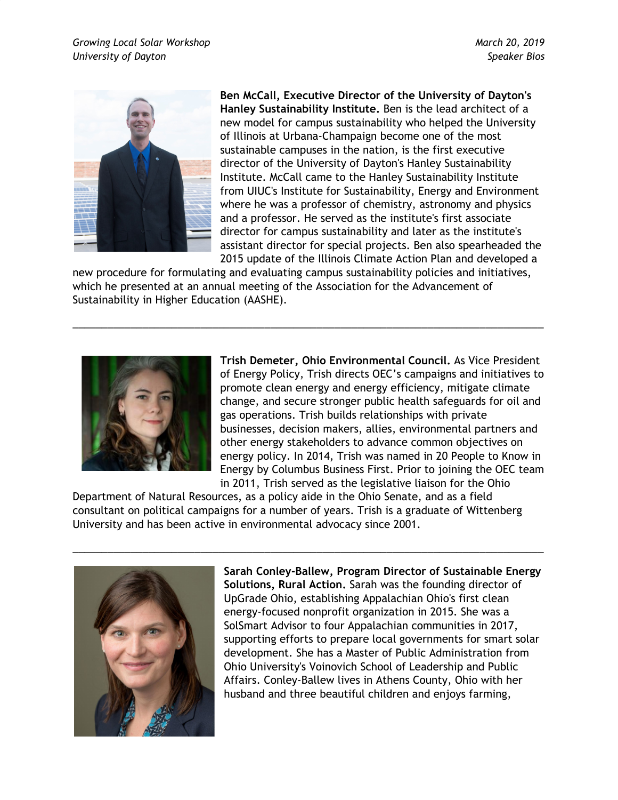

**Ben McCall, Executive Director of the University of Dayton's Hanley Sustainability Institute.** Ben is the lead architect of a new model for campus sustainability who helped the University of Illinois at Urbana-Champaign become one of the most sustainable campuses in the nation, is the first executive director of the University of Dayton's Hanley Sustainability Institute. McCall came to the Hanley Sustainability Institute from UIUC's Institute for Sustainability, Energy and Environment where he was a professor of chemistry, astronomy and physics and a professor. He served as the institute's first associate director for campus sustainability and later as the institute's assistant director for special projects. Ben also spearheaded the 2015 update of the Illinois Climate Action Plan and developed a

new procedure for formulating and evaluating campus sustainability policies and initiatives, which he presented at an annual meeting of the Association for the Advancement of Sustainability in Higher Education (AASHE).

\_\_\_\_\_\_\_\_\_\_\_\_\_\_\_\_\_\_\_\_\_\_\_\_\_\_\_\_\_\_\_\_\_\_\_\_\_\_\_\_\_\_\_\_\_\_\_\_\_\_\_\_\_\_\_\_\_\_\_\_\_\_\_\_\_\_\_\_\_\_\_\_\_\_\_\_\_\_\_\_\_



**Trish Demeter, Ohio Environmental Council.** As Vice President of Energy Policy, Trish directs OEC's campaigns and initiatives to promote clean energy and energy efficiency, mitigate climate change, and secure stronger public health safeguards for oil and gas operations. Trish builds relationships with private businesses, decision makers, allies, environmental partners and other energy stakeholders to advance common objectives on energy policy. In 2014, Trish was named in 20 People to Know in Energy by Columbus Business First. Prior to joining the OEC team in 2011, Trish served as the legislative liaison for the Ohio

Department of Natural Resources, as a policy aide in the Ohio Senate, and as a field consultant on political campaigns for a number of years. Trish is a graduate of Wittenberg University and has been active in environmental advocacy since 2001.

\_\_\_\_\_\_\_\_\_\_\_\_\_\_\_\_\_\_\_\_\_\_\_\_\_\_\_\_\_\_\_\_\_\_\_\_\_\_\_\_\_\_\_\_\_\_\_\_\_\_\_\_\_\_\_\_\_\_\_\_\_\_\_\_\_\_\_\_\_\_\_\_\_\_\_\_\_\_\_\_\_



**Sarah Conley-Ballew, Program Director of Sustainable Energy Solutions, Rural Action.** Sarah was the founding director of UpGrade Ohio, establishing Appalachian Ohio's first clean energy-focused nonprofit organization in 2015. She was a SolSmart Advisor to four Appalachian communities in 2017, supporting efforts to prepare local governments for smart solar development. She has a Master of Public Administration from Ohio University's Voinovich School of Leadership and Public Affairs. Conley-Ballew lives in Athens County, Ohio with her husband and three beautiful children and enjoys farming,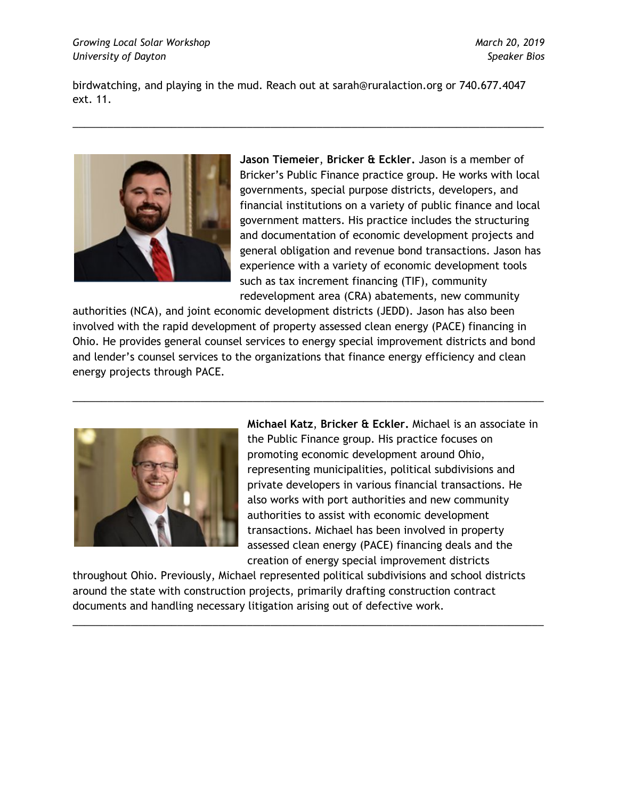birdwatching, and playing in the mud. Reach out at sarah@ruralaction.org or 740.677.4047 ext. 11.

\_\_\_\_\_\_\_\_\_\_\_\_\_\_\_\_\_\_\_\_\_\_\_\_\_\_\_\_\_\_\_\_\_\_\_\_\_\_\_\_\_\_\_\_\_\_\_\_\_\_\_\_\_\_\_\_\_\_\_\_\_\_\_\_\_\_\_\_\_\_\_\_\_\_\_\_\_\_\_\_\_



**Jason Tiemeier**, **Bricker & Eckler.** Jason is a member of Bricker's Public Finance practice group. He works with local governments, special purpose districts, developers, and financial institutions on a variety of public finance and local government matters. His practice includes the structuring and documentation of economic development projects and general obligation and revenue bond transactions. Jason has experience with a variety of economic development tools such as tax increment financing (TIF), community redevelopment area (CRA) abatements, new community

authorities (NCA), and joint economic development districts (JEDD). Jason has also been involved with the rapid development of property assessed clean energy (PACE) financing in Ohio. He provides general counsel services to energy special improvement districts and bond and lender's counsel services to the organizations that finance energy efficiency and clean energy projects through PACE.

\_\_\_\_\_\_\_\_\_\_\_\_\_\_\_\_\_\_\_\_\_\_\_\_\_\_\_\_\_\_\_\_\_\_\_\_\_\_\_\_\_\_\_\_\_\_\_\_\_\_\_\_\_\_\_\_\_\_\_\_\_\_\_\_\_\_\_\_\_\_\_\_\_\_\_\_\_\_\_\_\_



**Michael Katz**, **Bricker & Eckler.** Michael is an associate in the Public Finance group. His practice focuses on promoting economic development around Ohio, representing municipalities, political subdivisions and private developers in various financial transactions. He also works with port authorities and new community authorities to assist with economic development transactions. Michael has been involved in property assessed clean energy (PACE) financing deals and the creation of energy special improvement districts

throughout Ohio. Previously, Michael represented political subdivisions and school districts around the state with construction projects, primarily drafting construction contract documents and handling necessary litigation arising out of defective work.

\_\_\_\_\_\_\_\_\_\_\_\_\_\_\_\_\_\_\_\_\_\_\_\_\_\_\_\_\_\_\_\_\_\_\_\_\_\_\_\_\_\_\_\_\_\_\_\_\_\_\_\_\_\_\_\_\_\_\_\_\_\_\_\_\_\_\_\_\_\_\_\_\_\_\_\_\_\_\_\_\_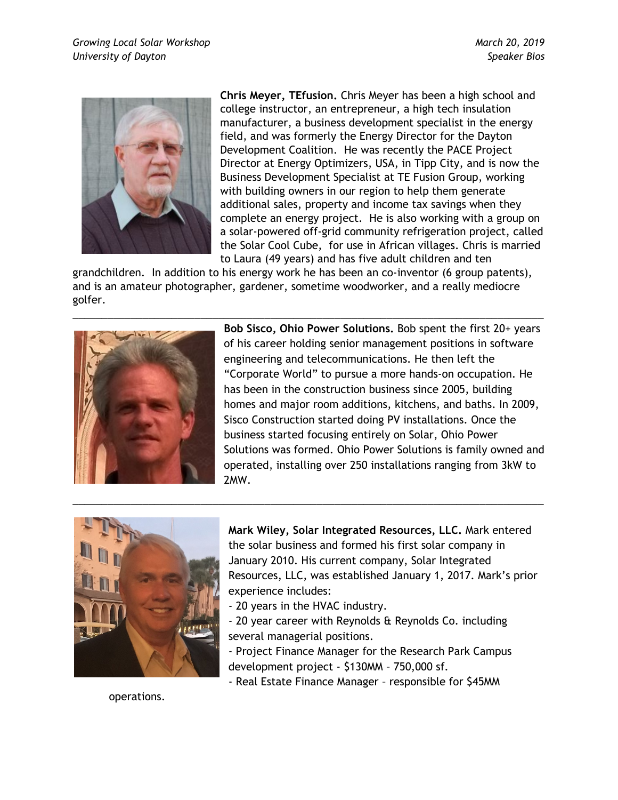

**Chris Meyer, TEfusion.** Chris Meyer has been a high school and college instructor, an entrepreneur, a high tech insulation manufacturer, a business development specialist in the energy field, and was formerly the Energy Director for the Dayton Development Coalition. He was recently the PACE Project Director at Energy Optimizers, USA, in Tipp City, and is now the Business Development Specialist at TE Fusion Group, working with building owners in our region to help them generate additional sales, property and income tax savings when they complete an energy project. He is also working with a group on a solar-powered off-grid community refrigeration project, called the Solar Cool Cube, for use in African villages. Chris is married to Laura (49 years) and has five adult children and ten

grandchildren. In addition to his energy work he has been an co-inventor (6 group patents), and is an amateur photographer, gardener, sometime woodworker, and a really mediocre golfer.

\_\_\_\_\_\_\_\_\_\_\_\_\_\_\_\_\_\_\_\_\_\_\_\_\_\_\_\_\_\_\_\_\_\_\_\_\_\_\_\_\_\_\_\_\_\_\_\_\_\_\_\_\_\_\_\_\_\_\_\_\_\_\_\_\_\_\_\_\_\_\_\_\_\_\_\_\_\_\_\_\_



**Bob Sisco, Ohio Power Solutions.** Bob spent the first 20+ years of his career holding senior management positions in software engineering and telecommunications. He then left the "Corporate World" to pursue a more hands-on occupation. He has been in the construction business since 2005, building homes and major room additions, kitchens, and baths. In 2009, Sisco Construction started doing PV installations. Once the business started focusing entirely on Solar, Ohio Power Solutions was formed. Ohio Power Solutions is family owned and operated, installing over 250 installations ranging from 3kW to 2MW.



**Mark Wiley, Solar Integrated Resources, LLC.** Mark entered the solar business and formed his first solar company in January 2010. His current company, Solar Integrated Resources, LLC, was established January 1, 2017. Mark's prior experience includes:

- 20 years in the HVAC industry.

\_\_\_\_\_\_\_\_\_\_\_\_\_\_\_\_\_\_\_\_\_\_\_\_\_\_\_\_\_\_\_\_\_\_\_\_\_\_\_\_\_\_\_\_\_\_\_\_\_\_\_\_\_\_\_\_\_\_\_\_\_\_\_\_\_\_\_\_\_\_\_\_\_\_\_\_\_\_\_\_\_

- 20 year career with Reynolds & Reynolds Co. including several managerial positions.
- Project Finance Manager for the Research Park Campus development project - \$130MM – 750,000 sf.
- Real Estate Finance Manager responsible for \$45MM

operations.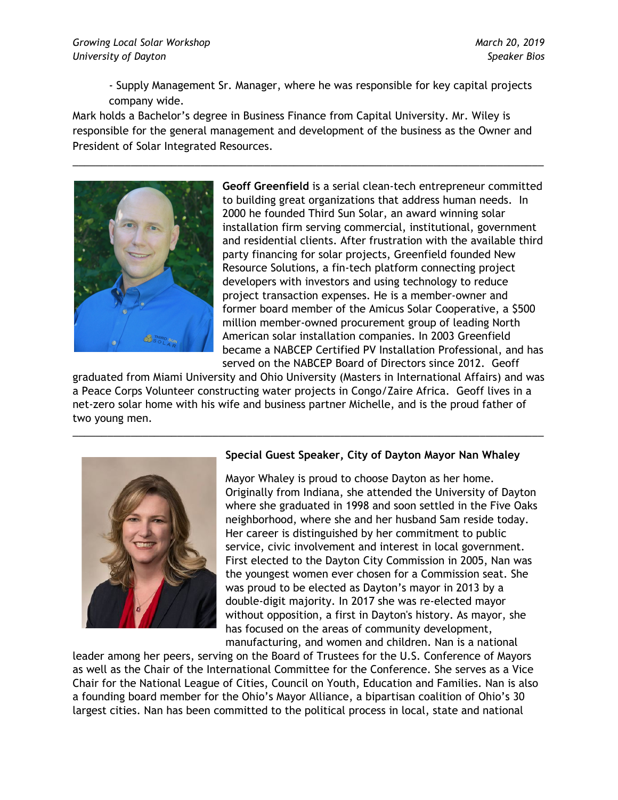- Supply Management Sr. Manager, where he was responsible for key capital projects company wide.

Mark holds a Bachelor's degree in Business Finance from Capital University. Mr. Wiley is responsible for the general management and development of the business as the Owner and President of Solar Integrated Resources.

\_\_\_\_\_\_\_\_\_\_\_\_\_\_\_\_\_\_\_\_\_\_\_\_\_\_\_\_\_\_\_\_\_\_\_\_\_\_\_\_\_\_\_\_\_\_\_\_\_\_\_\_\_\_\_\_\_\_\_\_\_\_\_\_\_\_\_\_\_\_\_\_\_\_\_\_\_\_\_\_\_



**Geoff Greenfield** is a serial clean-tech entrepreneur committed to building great organizations that address human needs. In 2000 he founded Third Sun Solar, an award winning solar installation firm serving commercial, institutional, government and residential clients. After frustration with the available third party financing for solar projects, Greenfield founded New Resource Solutions, a fin-tech platform connecting project developers with investors and using technology to reduce project transaction expenses. He is a member-owner and former board member of the Amicus Solar Cooperative, a \$500 million member-owned procurement group of leading North American solar installation companies. In 2003 Greenfield became a NABCEP Certified PV Installation Professional, and has served on the NABCEP Board of Directors since 2012. Geoff

graduated from Miami University and Ohio University (Masters in International Affairs) and was a Peace Corps Volunteer constructing water projects in Congo/Zaire Africa. Geoff lives in a net-zero solar home with his wife and business partner Michelle, and is the proud father of two young men.

\_\_\_\_\_\_\_\_\_\_\_\_\_\_\_\_\_\_\_\_\_\_\_\_\_\_\_\_\_\_\_\_\_\_\_\_\_\_\_\_\_\_\_\_\_\_\_\_\_\_\_\_\_\_\_\_\_\_\_\_\_\_\_\_\_\_\_\_\_\_\_\_\_\_\_\_\_\_\_\_\_



## **Special Guest Speaker, City of Dayton Mayor Nan Whaley**

Mayor Whaley is proud to choose Dayton as her home. Originally from Indiana, she attended the University of Dayton where she graduated in 1998 and soon settled in the Five Oaks neighborhood, where she and her husband Sam reside today. Her career is distinguished by her commitment to public service, civic involvement and interest in local government. First elected to the Dayton City Commission in 2005, Nan was the youngest women ever chosen for a Commission seat. She was proud to be elected as Dayton's mayor in 2013 by a double-digit majority. In 2017 she was re-elected mayor without opposition, a first in Dayton's history. As mayor, she has focused on the areas of community development, manufacturing, and women and children. Nan is a national

leader among her peers, serving on the Board of Trustees for the U.S. Conference of Mayors as well as the Chair of the International Committee for the Conference. She serves as a Vice Chair for the National League of Cities, Council on Youth, Education and Families. Nan is also a founding board member for the Ohio's Mayor Alliance, a bipartisan coalition of Ohio's 30 largest cities. Nan has been committed to the political process in local, state and national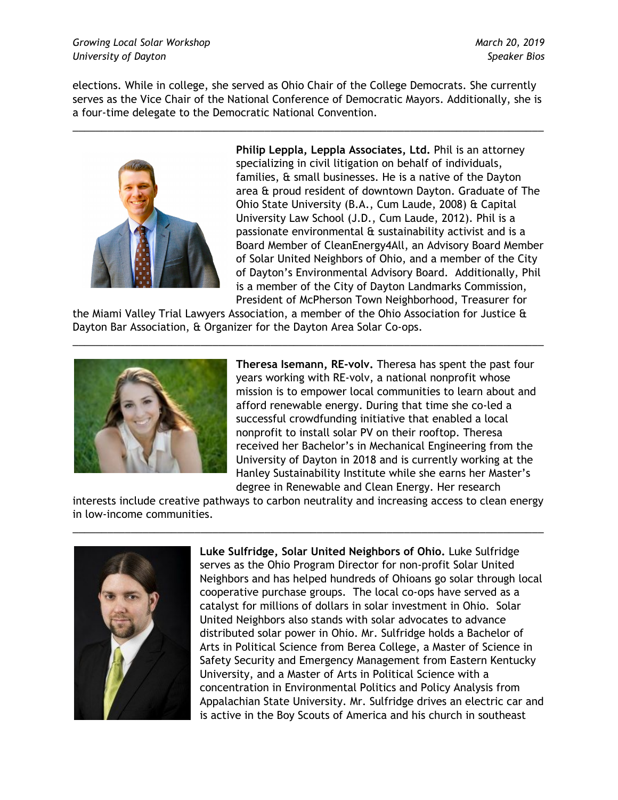elections. While in college, she served as Ohio Chair of the College Democrats. She currently serves as the Vice Chair of the National Conference of Democratic Mayors. Additionally, she is a four-time delegate to the Democratic National Convention.

\_\_\_\_\_\_\_\_\_\_\_\_\_\_\_\_\_\_\_\_\_\_\_\_\_\_\_\_\_\_\_\_\_\_\_\_\_\_\_\_\_\_\_\_\_\_\_\_\_\_\_\_\_\_\_\_\_\_\_\_\_\_\_\_\_\_\_\_\_\_\_\_\_\_\_\_\_\_\_\_\_



**Philip Leppla, Leppla Associates, Ltd.** Phil is an attorney specializing in civil litigation on behalf of individuals, families, & small businesses. He is a native of the Dayton area & proud resident of downtown Dayton. Graduate of The Ohio State University (B.A., Cum Laude, 2008) & Capital University Law School (J.D., Cum Laude, 2012). Phil is a passionate environmental & sustainability activist and is a Board Member of CleanEnergy4All, an Advisory Board Member of Solar United Neighbors of Ohio, and a member of the City of Dayton's Environmental Advisory Board. Additionally, Phil is a member of the City of Dayton Landmarks Commission, President of McPherson Town Neighborhood, Treasurer for

the Miami Valley Trial Lawyers Association, a member of the Ohio Association for Justice & Dayton Bar Association, & Organizer for the Dayton Area Solar Co-ops.

\_\_\_\_\_\_\_\_\_\_\_\_\_\_\_\_\_\_\_\_\_\_\_\_\_\_\_\_\_\_\_\_\_\_\_\_\_\_\_\_\_\_\_\_\_\_\_\_\_\_\_\_\_\_\_\_\_\_\_\_\_\_\_\_\_\_\_\_\_\_\_\_\_\_\_\_\_\_\_\_\_



**Theresa Isemann, RE-volv.** Theresa has spent the past four years working with RE-volv, a national nonprofit whose mission is to empower local communities to learn about and afford renewable energy. During that time she co-led a successful crowdfunding initiative that enabled a local nonprofit to install solar PV on their rooftop. Theresa received her Bachelor's in Mechanical Engineering from the University of Dayton in 2018 and is currently working at the Hanley Sustainability Institute while she earns her Master's degree in Renewable and Clean Energy. Her research

interests include creative pathways to carbon neutrality and increasing access to clean energy in low-income communities.

\_\_\_\_\_\_\_\_\_\_\_\_\_\_\_\_\_\_\_\_\_\_\_\_\_\_\_\_\_\_\_\_\_\_\_\_\_\_\_\_\_\_\_\_\_\_\_\_\_\_\_\_\_\_\_\_\_\_\_\_\_\_\_\_\_\_\_\_\_\_\_\_\_\_\_\_\_\_\_\_\_



**Luke Sulfridge, Solar United Neighbors of Ohio.** Luke Sulfridge serves as the Ohio Program Director for non-profit Solar United Neighbors and has helped hundreds of Ohioans go solar through local cooperative purchase groups. The local co-ops have served as a catalyst for millions of dollars in solar investment in Ohio. Solar United Neighbors also stands with solar advocates to advance distributed solar power in Ohio. Mr. Sulfridge holds a Bachelor of Arts in Political Science from Berea College, a Master of Science in Safety Security and Emergency Management from Eastern Kentucky University, and a Master of Arts in Political Science with a concentration in Environmental Politics and Policy Analysis from Appalachian State University. Mr. Sulfridge drives an electric car and is active in the Boy Scouts of America and his church in southeast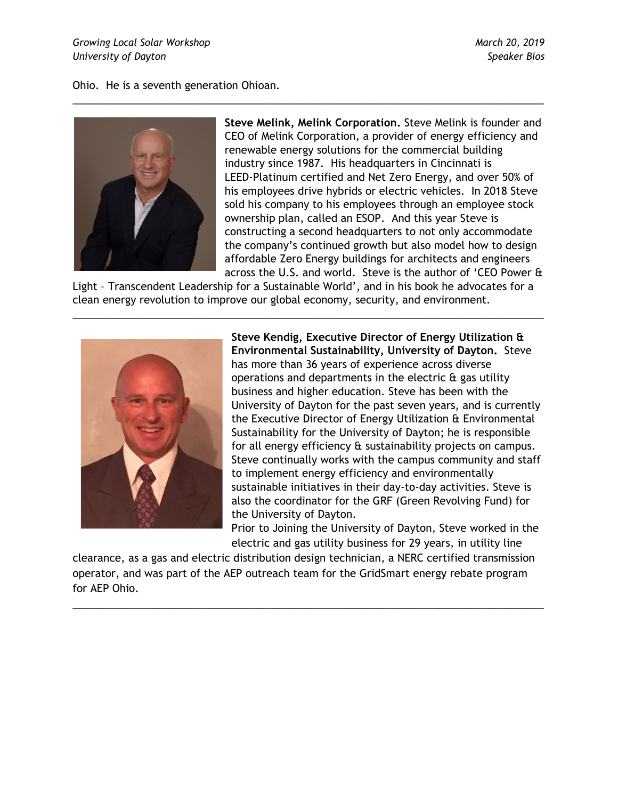Ohio. He is a seventh generation Ohioan.



**Steve Melink, Melink Corporation.** Steve Melink is founder and CEO of Melink Corporation, a provider of energy efficiency and renewable energy solutions for the commercial building industry since 1987. His headquarters in Cincinnati is LEED-Platinum certified and Net Zero Energy, and over 50% of his employees drive hybrids or electric vehicles. In 2018 Steve sold his company to his employees through an employee stock ownership plan, called an ESOP. And this year Steve is constructing a second headquarters to not only accommodate the company's continued growth but also model how to design affordable Zero Energy buildings for architects and engineers across the U.S. and world. Steve is the author of 'CEO Power &

Light – Transcendent Leadership for a Sustainable World', and in his book he advocates for a clean energy revolution to improve our global economy, security, and environment.

\_\_\_\_\_\_\_\_\_\_\_\_\_\_\_\_\_\_\_\_\_\_\_\_\_\_\_\_\_\_\_\_\_\_\_\_\_\_\_\_\_\_\_\_\_\_\_\_\_\_\_\_\_\_\_\_\_\_\_\_\_\_\_\_\_\_\_\_\_\_\_\_\_\_\_\_\_\_\_\_\_

\_\_\_\_\_\_\_\_\_\_\_\_\_\_\_\_\_\_\_\_\_\_\_\_\_\_\_\_\_\_\_\_\_\_\_\_\_\_\_\_\_\_\_\_\_\_\_\_\_\_\_\_\_\_\_\_\_\_\_\_\_\_\_\_\_\_\_\_\_\_\_\_\_\_\_\_\_\_\_\_\_



**Steve Kendig, Executive Director of Energy Utilization & Environmental Sustainability, University of Dayton.** Steve has more than 36 years of experience across diverse operations and departments in the electric & gas utility business and higher education. Steve has been with the University of Dayton for the past seven years, and is currently the Executive Director of Energy Utilization & Environmental Sustainability for the University of Dayton; he is responsible for all energy efficiency & sustainability projects on campus. Steve continually works with the campus community and staff to implement energy efficiency and environmentally sustainable initiatives in their day-to-day activities. Steve is also the coordinator for the GRF (Green Revolving Fund) for the University of Dayton.

Prior to Joining the University of Dayton, Steve worked in the electric and gas utility business for 29 years, in utility line

clearance, as a gas and electric distribution design technician, a NERC certified transmission operator, and was part of the AEP outreach team for the GridSmart energy rebate program for AEP Ohio.

\_\_\_\_\_\_\_\_\_\_\_\_\_\_\_\_\_\_\_\_\_\_\_\_\_\_\_\_\_\_\_\_\_\_\_\_\_\_\_\_\_\_\_\_\_\_\_\_\_\_\_\_\_\_\_\_\_\_\_\_\_\_\_\_\_\_\_\_\_\_\_\_\_\_\_\_\_\_\_\_\_